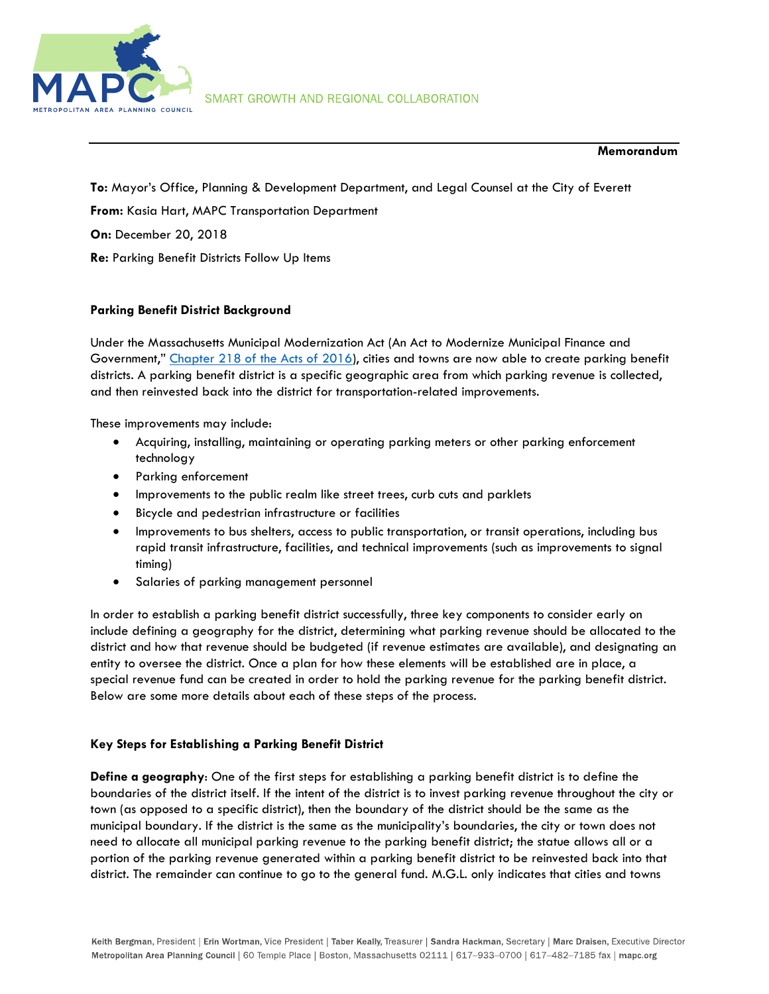

### Memorandum

To: Mayor's Office, Planning & Development Department, and Legal Counsel at the City of Everett From: Kasia Hart, MAPC Transportation Department On: December 20, 2018 Re: Parking Benefit Districts Follow Up Items

# Parking Benefit District Background

Under the Massachusetts Municipal Modernization Act (An Act to Modernize Municipal Finance and Government," Chapter 218 of the Acts of 2016), cities and towns are now able to create parking benefit districts. A parking benefit district is a specific geographic area from which parking revenue is collected, and then reinvested back into the district for transportation-related improvements.

These improvements may include:

- Acquiring, installing, maintaining or operating parking meters or other parking enforcement technology
- Parking enforcement
- **•** Improvements to the public realm like street trees, curb cuts and parklets
- Bicycle and pedestrian infrastructure or facilities
- Improvements to bus shelters, access to public transportation, or transit operations, including bus rapid transit infrastructure, facilities, and technical improvements (such as improvements to signal timing)
- Salaries of parking management personnel

In order to establish a parking benefit district successfully, three key components to consider early on include defining a geography for the district, determining what parking revenue should be allocated to the district and how that revenue should be budgeted (if revenue estimates are available), and designating an entity to oversee the district. Once a plan for how these elements will be established are in place, a special revenue fund can be created in order to hold the parking revenue for the parking benefit district. Below are some more details about each of these steps of the process.

### Key Steps for Establishing a Parking Benefit District

Define a geography: One of the first steps for establishing a parking benefit district is to define the boundaries of the district itself. If the intent of the district is to invest parking revenue throughout the city or town (as opposed to a specific district), then the boundary of the district should be the same as the municipal boundary. If the district is the same as the municipality's boundaries, the city or town does not need to allocate all municipal parking revenue to the parking benefit district; the statue allows all or a portion of the parking revenue generated within a parking benefit district to be reinvested back into that district. The remainder can continue to go to the general fund. M.G.L. only indicates that cities and towns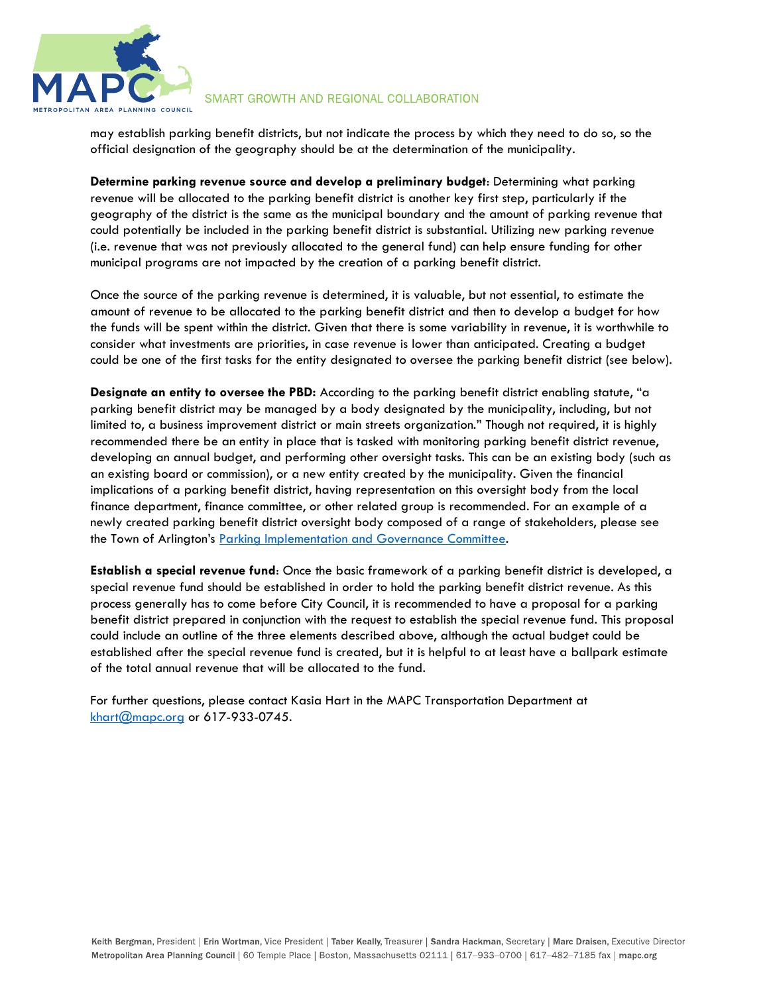

## SMART GROWTH AND REGIONAL COLLABORATION

may establish parking benefit districts, but not indicate the process by which they need to do so, so the official designation of the geography should be at the determination of the municipality.

Determine parking revenue source and develop a preliminary budget: Determining what parking revenue will be allocated to the parking benefit district is another key first step, particularly if the geography of the district is the same as the municipal boundary and the amount of parking revenue that could potentially be included in the parking benefit district is substantial. Utilizing new parking revenue (i.e. revenue that was not previously allocated to the general fund) can help ensure funding for other municipal programs are not impacted by the creation of a parking benefit district.

Once the source of the parking revenue is determined, it is valuable, but not essential, to estimate the amount of revenue to be allocated to the parking benefit district and then to develop a budget for how the funds will be spent within the district. Given that there is some variability in revenue, it is worthwhile to consider what investments are priorities, in case revenue is lower than anticipated. Creating a budget could be one of the first tasks for the entity designated to oversee the parking benefit district (see below).

Designate an entity to oversee the PBD: According to the parking benefit district enabling statute, "a parking benefit district may be managed by a body designated by the municipality, including, but not limited to, a business improvement district or main streets organization." Though not required, it is highly recommended there be an entity in place that is tasked with monitoring parking benefit district revenue, developing an annual budget, and performing other oversight tasks. This can be an existing body (such as an existing board or commission), or a new entity created by the municipality. Given the financial implications of a parking benefit district, having representation on this oversight body from the local finance department, finance committee, or other related group is recommended. For an example of a newly created parking benefit district oversight body composed of a range of stakeholders, please see the Town of Arlington's Parking Implementation and Governance Committee.

Establish a special revenue fund: Once the basic framework of a parking benefit district is developed, a special revenue fund should be established in order to hold the parking benefit district revenue. As this process generally has to come before City Council, it is recommended to have a proposal for a parking benefit district prepared in conjunction with the request to establish the special revenue fund. This proposal could include an outline of the three elements described above, although the actual budget could be established after the special revenue fund is created, but it is helpful to at least have a ballpark estimate of the total annual revenue that will be allocated to the fund.

For further questions, please contact Kasia Hart in the MAPC Transportation Department at khart@mapc.org or 617-933-0745.